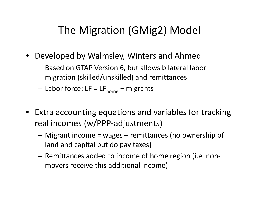## The Migration (GMig2) Model

- Developed by Walmsley, Winters and Ahmed
	- – Based on GTAP Version 6, but allows bilateral labor migration (skilled/unskilled) and remittances
	- Labor force: LF = LF<sub>home</sub> + migrants
- Extra accounting equations and variables for tracking real incomes (w/PPP‐adjustments)
	- – Migrant income <sup>=</sup> wages – remittances (no ownership of land and capital but do pay taxes)
	- $-$  Remittances added to income of home region (i.e. nonmovers receive this additional income)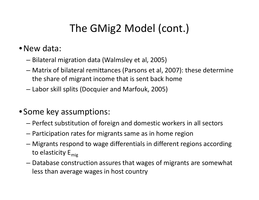## The GMig2 Model (cont.)

## •New data:

- –Bilateral migration data (Walmsley et al, 2005)
- – Matrix of bilateral remittances (Parsons et al, 2007): these determine the share of migrant income that is sent back home
- –Labor skill splits (Docquier and Marfouk, 2005)
- Some key assumptions:
	- –Perfect substitution of foreign and domestic workers in all sectors
	- –Participation rates for migrants same as in home region
	- – Migrants respond to wage differentials in different regions according to elasticity E<sub>mig</sub>
	- – Database construction assures that wages of migrants are somewhat less than average wages in host country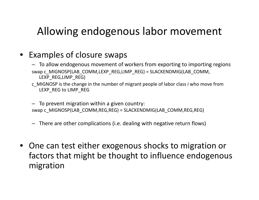## Allowing endogenous labor movement

- Examples of closure swaps
	- To allow endogenous movement of workers from exporting to importing regions swap c\_MIGNOSP(LAB\_COMM,LEXP\_REG,LIMP\_REG) = SLACKENDMIG(LAB\_COMM, LEXP\_REG,LIMP\_REG)
	- c\_MIGNOSP is the change in the number of migrant people of labor class *i* who move from LEXP\_REG to LIMP\_REG
	- To prevent migration within <sup>a</sup> given country: swap c\_MIGNOSP(LAB\_COMM,REG,REG) <sup>=</sup> SLACKENDMIG(LAB\_COMM,REG,REG)
	- There are other complications (i.e. dealing with negative return flows)
- One can test either exogenous shocks to migration or factors that might be thought to influence endogenous migration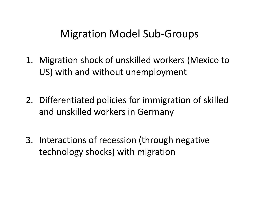## Migration Model Sub‐Groups

- 1. Migration shock of unskilled workers (Mexico to US) with and without unemployment
- 2. Differentiated policies for immigration of skilled and unskilled workers in Germany
- 3. Interactions of recession (through negative technology shocks) with migration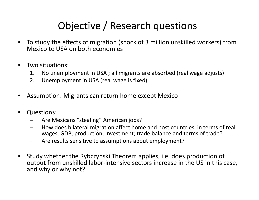## Objective / Research questions

- $\bullet$  To study the effects of migration (shock of 3 million unskilled workers) from Mexico to USA on both economies
- $\bullet$  Two situations:
	- 1. No unemployment in USA ; all migrants are absorbed (real wage adjusts)
	- 2. Unemployment in USA (real wage is fixed)
- $\bullet$ Assumption: Migrants can return home except Mexico
- $\bullet$  Questions:
	- –Are Mexicans "stealing" American jobs?
	- – $\;\;$  How does bilateral migration affect home and host countries, in terms of real wages; GDP; production; investment; trade balance and terms of trade?
	- –Are results sensitive to assumptions about employment?
- $\bullet$  Study whether the Rybczynski Theorem applies, i.e. does production of output from unskilled labor‐intensive sectors increase in the US in this case, and why or why not?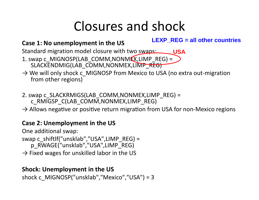# Closures and shock

### **Case 1: No unemployment in the US**

**LEXP\_REG = all other countries**

Standard migration model closure with two swaps: **USA**

- 1. swap c\_MIGNOSP(LAB\_COMM,NONMEX,LIMP\_REG) <sup>=</sup> SLACKENDMIG(LAB\_COMM,NONMEX,LIMP\_REG)
- → We will only shock c\_MIGNOSP from Mexico to USA (no extra out-migration from other regions)
- 2. swap c\_SLACKRMIGS(LAB\_COMM,NONMEX,LIMP\_REG) <sup>=</sup> c\_RMIGSP\_C(LAB\_COMM,NONMEX,LIMP\_REG)
- $\rightarrow$  Allows negative or positive return migration from USA for non-Mexico regions

### **Case 2: Unemployment in the US**

One additional swap:

swap c\_shiftlf("unsklab","USA",LIMP\_REG) <sup>=</sup> p\_RWAGE("unsklab","USA",LIMP\_REG)

 $\rightarrow$  Fixed wages for unskilled labor in the US

### **Shock: Unemployment in the US**

shock c\_MIGNOSP("unsklab","Mexico","USA") <sup>=</sup> 3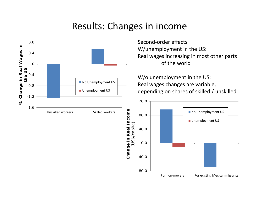## Results: Changes in income

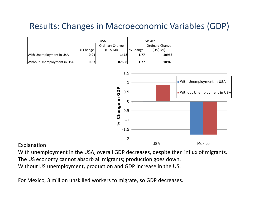## Results: Changes in Macroeconomic Variables (GDP)

|                             | USA      |                 | Mexico   |                        |
|-----------------------------|----------|-----------------|----------|------------------------|
|                             |          | Ordinary Change |          | <b>Ordinary Change</b> |
|                             | % Change | (US\$MI)        | % Change | (US\$MI)               |
| With Unemployment in USA    | $-0.01$  | -1472           | $-1.77$  | $-10953$               |
| Without Unemployment in USA | 0.87     | 87608           | $-1.77$  | $-10949$               |



#### Explanation:

With unemployment in the USA, overall GDP decreases, despite then influx of migrants. The US economy cannot absorb all migrants; production goes down. Without US unemployment, production and GDP increase in the US.

For Mexico, 3 million unskilled workers to migrate, so GDP decreases.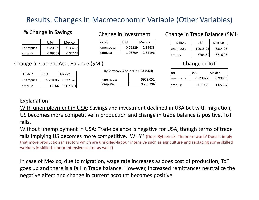### Results: Changes in Macroeconomic Variable (Other Variables)

qcgds USA Mexico unempusa | -0.06229 -2.33683 empusa | 1.06799 -2.64196

Change in Investment

#### % Change in Savings

DTBALY USA Mexico

unempusa | 272.1006 3532.825 empusa ‐15164 3907.861

|                 | USA        | Mexico  |
|-----------------|------------|---------|
| <b>unempusa</b> | $-0.20359$ | 0.33243 |
| empusa          | 0.89567    | 0.32643 |

### Change in Current Acct Balance (\$Ml)

| By Mexican Workers in USA (\$MI) |          |  |  |
|----------------------------------|----------|--|--|
| <b>unempusa</b>                  | 9902.051 |  |  |
| <b>lempusa</b>                   | 9659.396 |  |  |

### Change in Trade Balance (\$Ml)

| DTBAL    | USA       | Mexico     |
|----------|-----------|------------|
| unempusa | 10015.25  | -6334.26   |
| empusa   | -5706.591 | $-5716.26$ |

#### Change in ToT

| tot      | <b>USA</b> | Mexico  |
|----------|------------|---------|
| unempusa | $-0.23822$ | 0.99833 |
| empusa   | $-0.1986$  | 1.05364 |

#### Explanation:

With unemployment in USA: Savings and investment declined in USA but with migration, US becomes more competitive in production and change in trade balance is positive. ToT falls.

Without unemployment in USA: Trade balance is negative for USA, though terms of trade falls implying US becomes more competitive. WHY? (Does Rybczinski Theorem work? Does it imply that more production in sectors which are unskilled‐labour intensive such as agriculture and replacing some skilled workers in skilled‐labour intensive sector as well?)

In case of Mexico, due to migration, wage rate increases as does cost of production, ToT goes up and there is <sup>a</sup> fall in Trade balance. However, increased remittances neutralize the negative effect and change in current account becomes positive.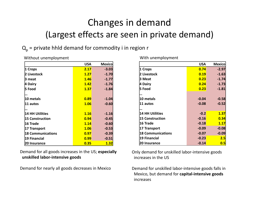## Changes in demand (Largest effects are seen in private demand)

### $Q_p$  = private hhld demand for commodity i in region r

|                          | <b>USA</b> | <b>Mexico</b> |
|--------------------------|------------|---------------|
| 1 Crops                  | 2.17       | $-3.03$       |
| 2 Livestock              | 1.27       | $-1.70$       |
| 13 meat                  | 1.46       | $-1.77$       |
| 4 Dairy                  | 1.42       | $-1.76$       |
| 5 Food                   | 1.37       | $-1.84$       |
|                          |            |               |
| 10 metals                | 0.89       | $-1.04$       |
| 11 autos                 | 1.06       | $-0.60$       |
|                          |            |               |
| <b>14 HH Utilities</b>   | 1.16       | $-1.16$       |
| <b>15 Construction</b>   | 0.94       | $-0.45$       |
| 16 Trade                 | 1.14       | $-0.60$       |
| 17 Transport             | 1.06       | $-0.53$       |
| <b>18 Communications</b> | 0.97       | $-0.39$       |
| <b>19 Financial</b>      | 0.99       | $-0.51$       |
| <b>20 Insurance</b>      | 0.35       | 1.32          |

Without unemployment

Demand for all goods increases in the US; **especially unskilled labor‐intensive goods**

Demand for nearly all goods decreases in Mexico

|                          | <b>USA</b> | <b>Mexico</b> |
|--------------------------|------------|---------------|
| 1 Crops                  | 0.74       | $-2.97$       |
| 2 Livestock              | 0.19       | $-1.63$       |
| 3 Meat                   | 0.23       | $-1.74$       |
| 4 Dairy                  | 0.24       | $-1.73$       |
| 5 Food                   | 0.23       | $-1.81$       |
|                          |            |               |
| 10 metals                | $-0.04$    | $-0.58$       |
| <b>11 autos</b>          | $-0.08$    | $-0.52$       |
|                          |            |               |
| <b>14 HH Utilities</b>   | $-0.2$     | 1.37          |
| <b>15 Construction</b>   | $-0.16$    | 0.34          |
| 16 Trade                 | $-0.18$    | 1.17          |
| 17 Transport             | $-0.09$    | $-0.08$       |
| <b>18 Communications</b> | $-0.07$    | $-0.09$       |
| <b>19 Financial</b>      | $-0.23$    | 2.5           |
| 20 Insurance             | $-0.14$    | 0.5           |

With unemployment

Only demand for unskilled labor‐intensive goods increases in the US

Demand for unskilled labor‐intensive goods falls in Mexico, but demand for **capital‐intensive goods** increases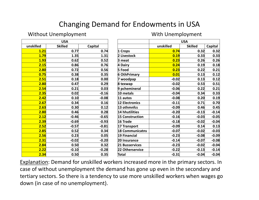### Changing Demand for Endowments in USA

#### **Without Unemployment**

#### With Unemployment

| <b>USA</b>  |                |         |  |  |
|-------------|----------------|---------|--|--|
| unskilled   | <b>Skilled</b> | Capital |  |  |
| 1.21        | 0.77           | 0.74    |  |  |
| <b>1.79</b> | 1.35           | 1.31    |  |  |
| 1.93        | 0.62           | 0.52    |  |  |
| 2.15        | 0.86           | 0.76    |  |  |
| 2.80        | 0.72           | 0.56    |  |  |
| 0.75        | 0.38           | 0.35    |  |  |
| 2.51        | 0.18           | 0.00    |  |  |
| <b>2.80</b> | 0.47           | 0.29    |  |  |
| 2.54        | 0.21           | 0.03    |  |  |
| 2.35        | 0.02           | $-0.16$ |  |  |
| 2.42        | 0.10           | $-0.08$ |  |  |
| 2.67        | 0.34           | 0.16    |  |  |
| 2.63        | 0.30           | 0.12    |  |  |
| <b>2.80</b> | 0.46           | 0.28    |  |  |
| <u>2.12</u> | $-0.46$        | $-0.65$ |  |  |
| 2.39        | $-0.69$        | $-0.93$ |  |  |
| 2.52        | $-0.57$        | $-0.81$ |  |  |
| 2.85        | 0.52           | 0.34    |  |  |
| 2.56        | 0.23           | 0.05    |  |  |
| 2.31        | $-0.02$        | $-0.20$ |  |  |
| 2.84        | 0.50           | 0.32    |  |  |
| <u>2.22</u> | $-0.10$        | $-0.28$ |  |  |
| 2.34        | 0.50           | 0.35    |  |  |

|                        | <b>USA</b> |                |         |  |
|------------------------|------------|----------------|---------|--|
|                        | unskilled  | <b>Skilled</b> | Capital |  |
| 1 Crops                | 0.74       | 0.32           | 0.32    |  |
| 2 Livestock            | 0.19       | 0.33           | 0.33    |  |
| 3 meat                 | 0.23       | 0.26           | 0.26    |  |
| 4 Dairy                | 0.24       | 0.19           | 0.18    |  |
| 5 Food                 | 0.23       | 0.22           | 0.21    |  |
| <b>6 OthPrimary</b>    | 0.01       | 0.13           | 0.12    |  |
| 7 woodpap              | $-0.02$    | 0.13           | 0.12    |  |
| 8 texwap               | $-0.02$    | 0.53           | 0.51    |  |
| 9 pchemineral          | $-0.06$    | 0.22           | 0.21    |  |
| 10 metals              | $-0.04$    | 0.34           | 0.33    |  |
| 11 autos               | $-0.08$    | 0.20           | 0.19    |  |
| <b>12 Electronics</b>  | $-0.11$    | 0.71           | 0.70    |  |
| 13 othmnfcs            | $-0.09$    | 0.46           | 0.45    |  |
| 14 hhutilities         | $-0.20$    | $-0.13$        | $-0.14$ |  |
| <b>15 Construction</b> | $-0.16$    | $-0.03$        | $-0.05$ |  |
| 16 Trade               | $-0.18$    | $-0.02$        | $-0.04$ |  |
| 17 Transport           | $-0.09$    | 0.14           | 0.13    |  |
| <b>18 Communicatns</b> | $-0.07$    | $-0.02$        | $-0.03$ |  |
| 19 Financial           | $-0.23$    | $-0.08$        | $-0.09$ |  |
| 20 Insurance           | $-0.14$    | $-0.07$        | $-0.08$ |  |
| <b>21 Busservices</b>  | $-0.23$    | $-0.02$        | $-0.04$ |  |
| 22 Otherservice        | $-0.22$    | $-0.13$        | $-0.14$ |  |
| Total                  | $-0.31$    | $-0.04$        | $-0.04$ |  |

Explanation: Demand for unskilled workers increased more in the primary sectors. In case of without unemployment the demand has gone up even in the secondary and tertiary sectors. So there is <sup>a</sup> tendency to use more unskilled workers when wages go down (in case of no unemployment).